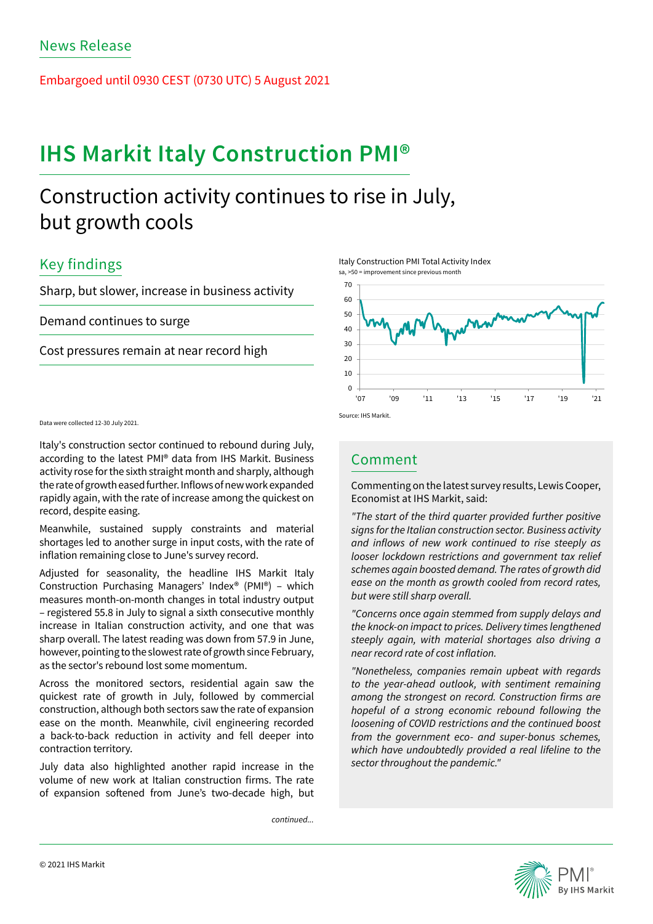Embargoed until 0930 CEST (0730 UTC) 5 August 2021

# **IHS Markit Italy Construction PMI®**

# Construction activity continues to rise in July, but growth cools

## Key findings

Sharp, but slower, increase in business activity

Demand continues to surge

Cost pressures remain at near record high

Data were collected 12-30 July 2021.

Italy's construction sector continued to rebound during July, according to the latest PMI® data from IHS Markit. Business activity rose for the sixth straight month and sharply, although the rate of growth eased further. Inflows of new work expanded rapidly again, with the rate of increase among the quickest on record, despite easing.

Meanwhile, sustained supply constraints and material shortages led to another surge in input costs, with the rate of inflation remaining close to June's survey record.

Adjusted for seasonality, the headline IHS Markit Italy Construction Purchasing Managers' Index® (PMI®) – which measures month-on-month changes in total industry output – registered 55.8 in July to signal a sixth consecutive monthly increase in Italian construction activity, and one that was sharp overall. The latest reading was down from 57.9 in June, however, pointing to the slowest rate of growth since February, as the sector's rebound lost some momentum.

Across the monitored sectors, residential again saw the quickest rate of growth in July, followed by commercial construction, although both sectors saw the rate of expansion ease on the month. Meanwhile, civil engineering recorded a back-to-back reduction in activity and fell deeper into contraction territory.

July data also highlighted another rapid increase in the volume of new work at Italian construction firms. The rate of expansion softened from June's two-decade high, but

*continued...*





## Comment

Commenting on the latest survey results, Lewis Cooper, Economist at IHS Markit, said:

*"The start of the third quarter provided further positive signs for the Italian construction sector. Business activity*  and inflows of new work continued to rise steeply as looser lockdown restrictions and government tax relief schemes again boosted demand. The rates of growth did ease on the month as growth cooled from record rates, but were still sharp overall.

"Concerns once again stemmed from supply delays and the knock-on impact to prices. Delivery times lengthened steeply again, with material shortages also driving a near record rate of cost inflation.

"Nonetheless, companies remain upbeat with regards to the year-ahead outlook, with sentiment remaining among the strongest on record. Construction firms are hopeful of a strong economic rebound following the loosening of COVID restrictions and the continued boost from the government eco- and super-bonus schemes, which have undoubtedly provided a real lifeline to the sector throughout the pandemic."